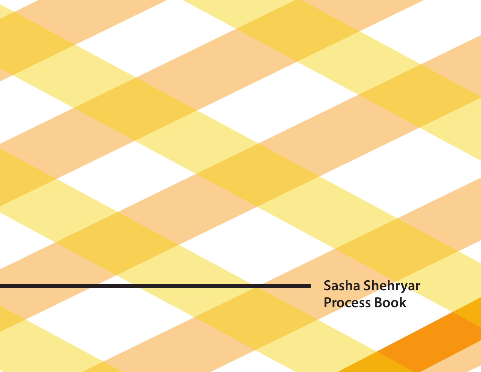**Sasha Shehryar Process Book**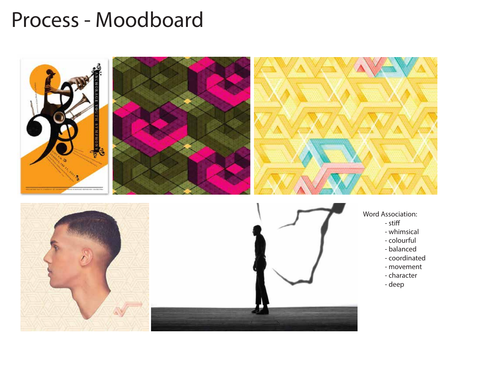### Process - Moodboard

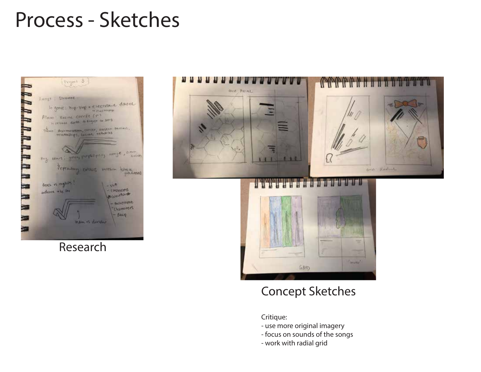# Process - Sketches



Research



#### Concept Sketches

Critique:

- use more original imagery
- focus on sounds of the songs
- work with radial grid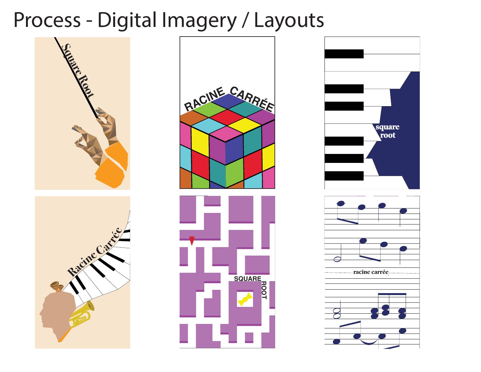# Process - Digital Imagery / Layouts







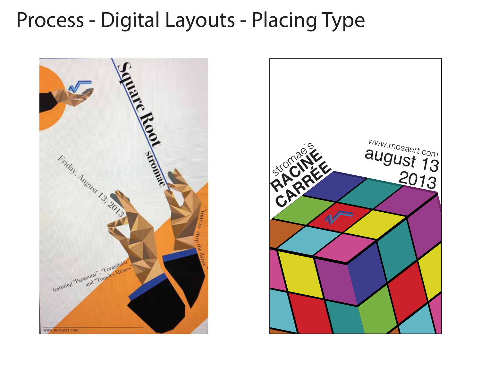# Process - Digital Layouts - Placing Type



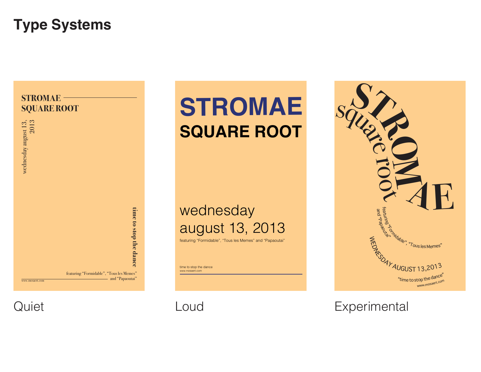### **Type Systems**



**STROMAE SQUARE ROOT**

### wednesday august 13, 2013

featuring "Formidable", "Tous les Memes" and "Papaoutai"

time to stop the dance www.mosaert.com